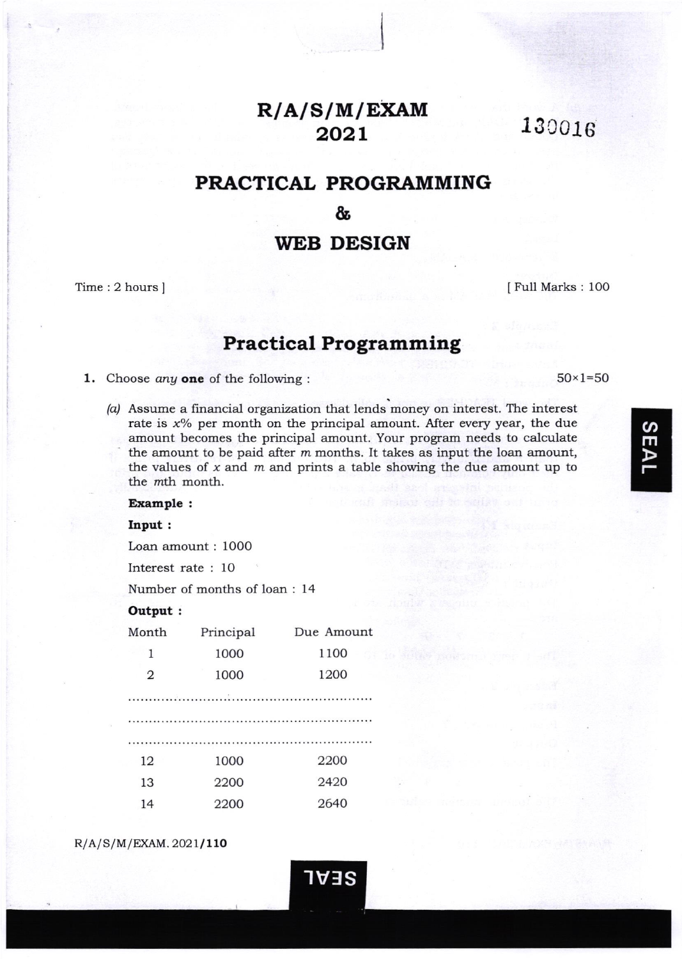# R/A/S/M/EXAM 2021

13c018

# PRACTICAL PROGRAMMING

&

# WEB DESIGN

Time: 2 hours | Ifull Marks : 100

 $50 \times 1 = 50$ 

# Practical Programming

1. Choose any one of the following :

/a/ Assume a financial organization that lends money on interest. The interest rate is  $x\%$  per month on the principal amount. After every year, the due amount becomes the principal amount. Your program needs to calculate the amount to be paid after  $m$  months. It takes as input the loan amount, the values of  $x$  and  $m$  and prints a table showing the due amount up to the *mth* month.

1V:lS

## Example :

#### Input:

Loan amount : 1000

Interest rate : lO

Number of months of loan : 14

## Output:

| Month          | Principal | Due Amount |
|----------------|-----------|------------|
| 1              | 1000      | 1100       |
| $\overline{2}$ | 1000      | 1200       |
|                |           |            |
|                |           |            |
|                |           |            |
| 12             | 1000      | 2200       |
| 13             | 2200      | 2420       |
| 14             | 2200      | 2640       |

 $R/A/S/M/EXAM.2021/110$ 

 $\overline{a}$ m